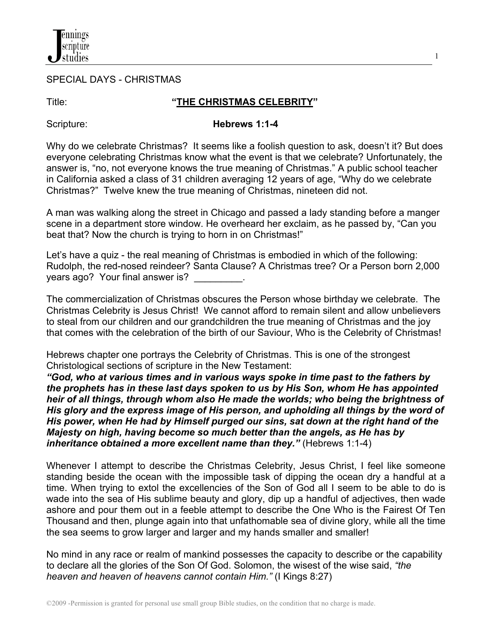

SPECIAL DAYS - CHRISTMAS

### Title: **"THE CHRISTMAS CELEBRITY"**

1

Scripture: **Hebrews 1:1-4**

Why do we celebrate Christmas? It seems like a foolish question to ask, doesn't it? But does everyone celebrating Christmas know what the event is that we celebrate? Unfortunately, the answer is, "no, not everyone knows the true meaning of Christmas." A public school teacher in California asked a class of 31 children averaging 12 years of age, "Why do we celebrate Christmas?" Twelve knew the true meaning of Christmas, nineteen did not.

A man was walking along the street in Chicago and passed a lady standing before a manger scene in a department store window. He overheard her exclaim, as he passed by, "Can you beat that? Now the church is trying to horn in on Christmas!"

Let's have a quiz - the real meaning of Christmas is embodied in which of the following: Rudolph, the red-nosed reindeer? Santa Clause? A Christmas tree? Or a Person born 2,000 years ago? Your final answer is?

The commercialization of Christmas obscures the Person whose birthday we celebrate. The Christmas Celebrity is Jesus Christ! We cannot afford to remain silent and allow unbelievers to steal from our children and our grandchildren the true meaning of Christmas and the joy that comes with the celebration of the birth of our Saviour, Who is the Celebrity of Christmas!

Hebrews chapter one portrays the Celebrity of Christmas. This is one of the strongest Christological sections of scripture in the New Testament:

*"God, who at various times and in various ways spoke in time past to the fathers by the prophets has in these last days spoken to us by His Son, whom He has appointed heir of all things, through whom also He made the worlds; who being the brightness of His glory and the express image of His person, and upholding all things by the word of His power, when He had by Himself purged our sins, sat down at the right hand of the Majesty on high, having become so much better than the angels, as He has by inheritance obtained a more excellent name than they."* (Hebrews 1:1-4)

Whenever I attempt to describe the Christmas Celebrity, Jesus Christ, I feel like someone standing beside the ocean with the impossible task of dipping the ocean dry a handful at a time. When trying to extol the excellencies of the Son of God all I seem to be able to do is wade into the sea of His sublime beauty and glory, dip up a handful of adjectives, then wade ashore and pour them out in a feeble attempt to describe the One Who is the Fairest Of Ten Thousand and then, plunge again into that unfathomable sea of divine glory, while all the time the sea seems to grow larger and larger and my hands smaller and smaller!

No mind in any race or realm of mankind possesses the capacity to describe or the capability to declare all the glories of the Son Of God. Solomon, the wisest of the wise said, *"the heaven and heaven of heavens cannot contain Him."* (I Kings 8:27)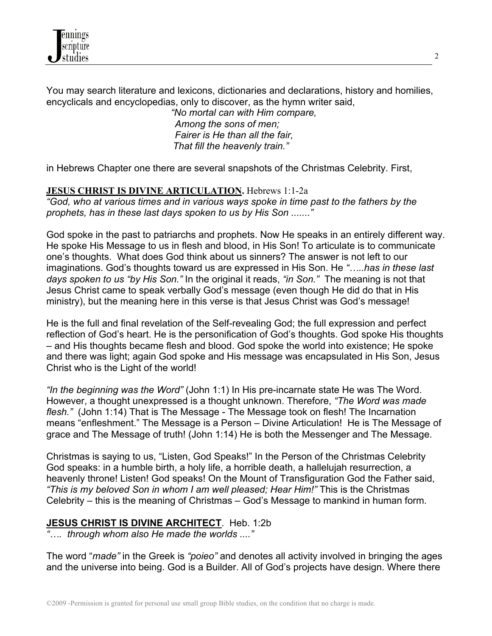You may search literature and lexicons, dictionaries and declarations, history and homilies, encyclicals and encyclopedias, only to discover, as the hymn writer said,

 *"No mortal can with Him compare, Among the sons of men; Fairer is He than all the fair, That fill the heavenly train."*

in Hebrews Chapter one there are several snapshots of the Christmas Celebrity. First,

**JESUS CHRIST IS DIVINE ARTICULATION.** Hebrews 1:1-2a

*"God, who at various times and in various ways spoke in time past to the fathers by the prophets, has in these last days spoken to us by His Son ......."*

God spoke in the past to patriarchs and prophets. Now He speaks in an entirely different way. He spoke His Message to us in flesh and blood, in His Son! To articulate is to communicate one's thoughts. What does God think about us sinners? The answer is not left to our imaginations. God's thoughts toward us are expressed in His Son. He *"…..has in these last days spoken to us "by His Son."* In the original it reads, *"in Son."* The meaning is not that Jesus Christ came to speak verbally God's message (even though He did do that in His ministry), but the meaning here in this verse is that Jesus Christ was God's message!

He is the full and final revelation of the Self-revealing God; the full expression and perfect reflection of God's heart. He is the personification of God's thoughts. God spoke His thoughts – and His thoughts became flesh and blood. God spoke the world into existence; He spoke and there was light; again God spoke and His message was encapsulated in His Son, Jesus Christ who is the Light of the world!

*"In the beginning was the Word"* (John 1:1) In His pre-incarnate state He was The Word. However, a thought unexpressed is a thought unknown. Therefore, *"The Word was made flesh."* (John 1:14) That is The Message - The Message took on flesh! The Incarnation means "enfleshment." The Message is a Person – Divine Articulation! He is The Message of grace and The Message of truth! (John 1:14) He is both the Messenger and The Message.

Christmas is saying to us, "Listen, God Speaks!" In the Person of the Christmas Celebrity God speaks: in a humble birth, a holy life, a horrible death, a hallelujah resurrection, a heavenly throne! Listen! God speaks! On the Mount of Transfiguration God the Father said, *"This is my beloved Son in whom I am well pleased; Hear Him!"* This is the Christmas Celebrity – this is the meaning of Christmas – God's Message to mankind in human form.

# **JESUS CHRIST IS DIVINE ARCHITECT**. Heb. 1:2b

*"…. through whom also He made the worlds ...."*

The word "*made"* in the Greek is *"poieo"* and denotes all activity involved in bringing the ages and the universe into being. God is a Builder. All of God's projects have design. Where there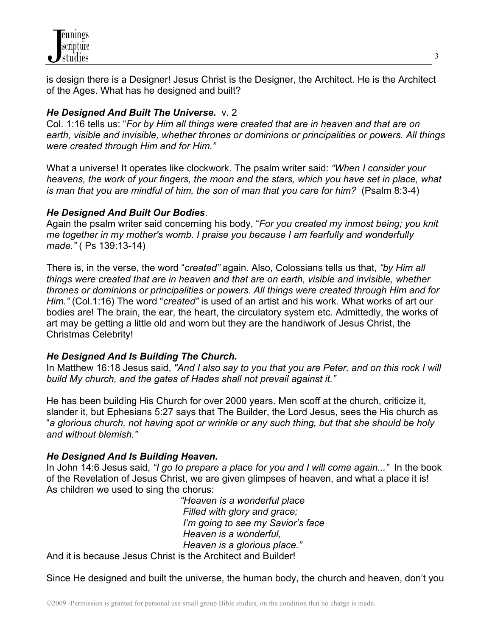is design there is a Designer! Jesus Christ is the Designer, the Architect. He is the Architect of the Ages. What has he designed and built?

## *He Designed And Built The Universe.* v. 2

Col. 1:16 tells us: "*For by Him all things were created that are in heaven and that are on earth, visible and invisible, whether thrones or dominions or principalities or powers. All things were created through Him and for Him."*

What a universe! It operates like clockwork. The psalm writer said: *"When I consider your heavens, the work of your fingers, the moon and the stars, which you have set in place, what is man that you are mindful of him, the son of man that you care for him?* (Psalm 8:3-4)

## *He Designed And Built Our Bodies*.

Again the psalm writer said concerning his body, "*For you created my inmost being; you knit me together in my mother's womb. I praise you because I am fearfully and wonderfully made."* ( Ps 139:13-14)

There is, in the verse, the word "*created"* again. Also, Colossians tells us that, *"by Him all things were created that are in heaven and that are on earth, visible and invisible, whether thrones or dominions or principalities or powers. All things were created through Him and for Him."* (Col.1:16) The word "*created"* is used of an artist and his work*.* What works of art our bodies are! The brain, the ear, the heart, the circulatory system etc. Admittedly, the works of art may be getting a little old and worn but they are the handiwork of Jesus Christ, the Christmas Celebrity!

# *He Designed And Is Building The Church.*

In Matthew 16:18 Jesus said, *"And I also say to you that you are Peter, and on this rock I will build My church, and the gates of Hades shall not prevail against it."*

He has been building His Church for over 2000 years. Men scoff at the church, criticize it, slander it, but Ephesians 5:27 says that The Builder, the Lord Jesus, sees the His church as "*a glorious church, not having spot or wrinkle or any such thing, but that she should be holy and without blemish."*

# *He Designed And Is Building Heaven.*

In John 14:6 Jesus said, *"I go to prepare a place for you and I will come again..."* In the book of the Revelation of Jesus Christ, we are given glimpses of heaven, and what a place it is! As children we used to sing the chorus:

 *"Heaven is a wonderful place Filled with glory and grace; I'm going to see my Savior's face Heaven is a wonderful, Heaven is a glorious place."* 

And it is because Jesus Christ is the Architect and Builder!

Since He designed and built the universe, the human body, the church and heaven, don't you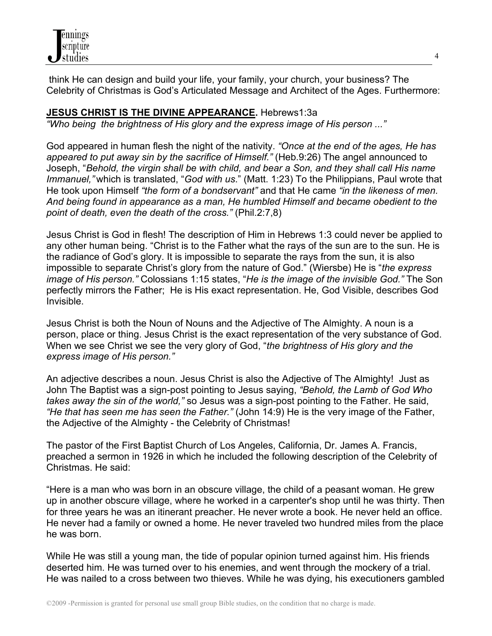

 think He can design and build your life, your family, your church, your business? The Celebrity of Christmas is God's Articulated Message and Architect of the Ages. Furthermore:

### **JESUS CHRIST IS THE DIVINE APPEARANCE.** Hebrews1:3a

*"Who being the brightness of His glory and the express image of His person ..."* 

God appeared in human flesh the night of the nativity. *"Once at the end of the ages, He has appeared to put away sin by the sacrifice of Himself."* (Heb.9:26) The angel announced to Joseph, "*Behold, the virgin shall be with child, and bear a Son, and they shall call His name Immanuel,"* which is translated, "*God with us*." (Matt. 1:23) To the Philippians, Paul wrote that He took upon Himself *"the form of a bondservant"* and that He came *"in the likeness of men. And being found in appearance as a man, He humbled Himself and became obedient to the point of death, even the death of the cross."* (Phil.2:7,8)

Jesus Christ is God in flesh! The description of Him in Hebrews 1:3 could never be applied to any other human being. "Christ is to the Father what the rays of the sun are to the sun. He is the radiance of God's glory. It is impossible to separate the rays from the sun, it is also impossible to separate Christ's glory from the nature of God." (Wiersbe) He is "*the express image of His person."* Colossians 1:15 states, "*He is the image of the invisible God."* The Son perfectly mirrors the Father; He is His exact representation. He, God Visible, describes God Invisible.

Jesus Christ is both the Noun of Nouns and the Adjective of The Almighty. A noun is a person, place or thing. Jesus Christ is the exact representation of the very substance of God. When we see Christ we see the very glory of God, "*the brightness of His glory and the express image of His person."* 

An adjective describes a noun. Jesus Christ is also the Adjective of The Almighty! Just as John The Baptist was a sign-post pointing to Jesus saying, *"Behold, the Lamb of God Who takes away the sin of the world,"* so Jesus was a sign-post pointing to the Father. He said, *"He that has seen me has seen the Father."* (John 14:9) He is the very image of the Father, the Adjective of the Almighty - the Celebrity of Christmas!

The pastor of the First Baptist Church of Los Angeles, California, Dr. James A. Francis, preached a sermon in 1926 in which he included the following description of the Celebrity of Christmas. He said:

"Here is a man who was born in an obscure village, the child of a peasant woman. He grew up in another obscure village, where he worked in a carpenter's shop until he was thirty. Then for three years he was an itinerant preacher. He never wrote a book. He never held an office. He never had a family or owned a home. He never traveled two hundred miles from the place he was born.

While He was still a young man, the tide of popular opinion turned against him. His friends deserted him. He was turned over to his enemies, and went through the mockery of a trial. He was nailed to a cross between two thieves. While he was dying, his executioners gambled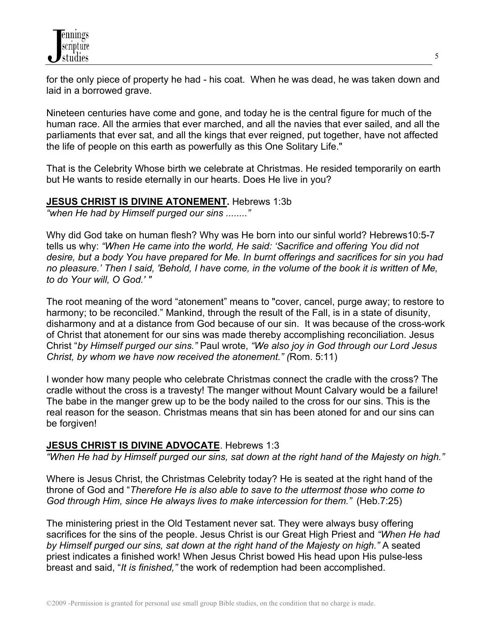for the only piece of property he had - his coat. When he was dead, he was taken down and laid in a borrowed grave.

Nineteen centuries have come and gone, and today he is the central figure for much of the human race. All the armies that ever marched, and all the navies that ever sailed, and all the parliaments that ever sat, and all the kings that ever reigned, put together, have not affected the life of people on this earth as powerfully as this One Solitary Life."

That is the Celebrity Whose birth we celebrate at Christmas. He resided temporarily on earth but He wants to reside eternally in our hearts. Does He live in you?

### **JESUS CHRIST IS DIVINE ATONEMENT.** Hebrews 1:3b

*"when He had by Himself purged our sins ........"* 

Why did God take on human flesh? Why was He born into our sinful world? Hebrews10:5-7 tells us why: *"When He came into the world, He said: 'Sacrifice and offering You did not desire, but a body You have prepared for Me. In burnt offerings and sacrifices for sin you had no pleasure.' Then I said, 'Behold, I have come, in the volume of the book it is written of Me, to do Your will, O God.' "* 

The root meaning of the word "atonement" means to "cover, cancel, purge away; to restore to harmony; to be reconciled." Mankind, through the result of the Fall, is in a state of disunity, disharmony and at a distance from God because of our sin. It was because of the cross-work of Christ that atonement for our sins was made thereby accomplishing reconciliation. Jesus Christ "*by Himself purged our sins."* Paul wrote, *"We also joy in God through our Lord Jesus Christ, by whom we have now received the atonement." (*Rom. 5:11)

I wonder how many people who celebrate Christmas connect the cradle with the cross? The cradle without the cross is a travesty! The manger without Mount Calvary would be a failure! The babe in the manger grew up to be the body nailed to the cross for our sins. This is the real reason for the season. Christmas means that sin has been atoned for and our sins can be forgiven!

## **JESUS CHRIST IS DIVINE ADVOCATE**. Hebrews 1:3

*"When He had by Himself purged our sins, sat down at the right hand of the Majesty on high."*

Where is Jesus Christ, the Christmas Celebrity today? He is seated at the right hand of the throne of God and "*Therefore He is also able to save to the uttermost those who come to God through Him, since He always lives to make intercession for them."* (Heb.7:25)

The ministering priest in the Old Testament never sat. They were always busy offering sacrifices for the sins of the people. Jesus Christ is our Great High Priest and *"When He had by Himself purged our sins, sat down at the right hand of the Majesty on high."* A seated priest indicates a finished work! When Jesus Christ bowed His head upon His pulse-less breast and said, "*It is finished,"* the work of redemption had been accomplished.